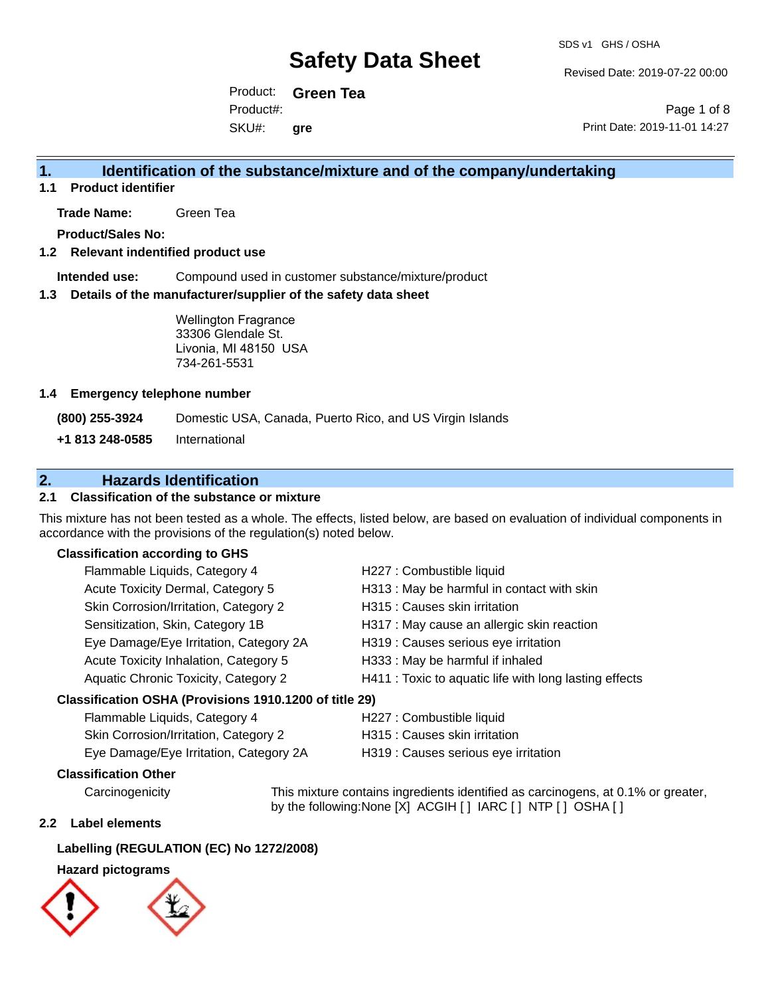Revised Date: 2019-07-22 00:00

Product: **Green Tea** SKU#: Product#: **gre**

Page 1 of 8 Print Date: 2019-11-01 14:27

#### **1. Identification of the substance/mixture and of the company/undertaking**

**1.1 Product identifier**

**Trade Name:** Green Tea

**Product/Sales No:**

#### **1.2 Relevant indentified product use**

**Intended use:** Compound used in customer substance/mixture/product

#### **1.3 Details of the manufacturer/supplier of the safety data sheet**

Wellington Fragrance 33306 Glendale St. Livonia, MI 48150 USA 734-261-5531

#### **1.4 Emergency telephone number**

**(800) 255-3924** Domestic USA, Canada, Puerto Rico, and US Virgin Islands

**+1 813 248-0585** International

#### **2. Hazards Identification**

#### **2.1 Classification of the substance or mixture**

This mixture has not been tested as a whole. The effects, listed below, are based on evaluation of individual components in accordance with the provisions of the regulation(s) noted below.

#### **Classification according to GHS**

| Flammable Liquids, Category 4                       | H227 : Combustible liquid                              |
|-----------------------------------------------------|--------------------------------------------------------|
| Acute Toxicity Dermal, Category 5                   | H313 : May be harmful in contact with skin             |
| Skin Corrosion/Irritation, Category 2               | H315 : Causes skin irritation                          |
| Sensitization, Skin, Category 1B                    | H317 : May cause an allergic skin reaction             |
| Eye Damage/Eye Irritation, Category 2A              | H319 : Causes serious eye irritation                   |
| Acute Toxicity Inhalation, Category 5               | H333: May be harmful if inhaled                        |
| Aquatic Chronic Toxicity, Category 2                | H411 : Toxic to aquatic life with long lasting effects |
| ssification OSHA (Provisions 1910 1200 of title 29) |                                                        |

#### **Classification OSHA (Provisions 1910.1200 of title 29)**

| Flammable Liquids, Category 4          | H227 : Combustible liquid            |
|----------------------------------------|--------------------------------------|
| Skin Corrosion/Irritation, Category 2  | H315 : Causes skin irritation        |
| Eye Damage/Eye Irritation, Category 2A | H319 : Causes serious eye irritation |

#### **Classification Other**

Carcinogenicity This mixture contains ingredients identified as carcinogens, at 0.1% or greater, by the following:None [X] ACGIH [ ] IARC [ ] NTP [ ] OSHA [ ]

#### **2.2 Label elements**

#### **Labelling (REGULATION (EC) No 1272/2008)**

#### **Hazard pictograms**

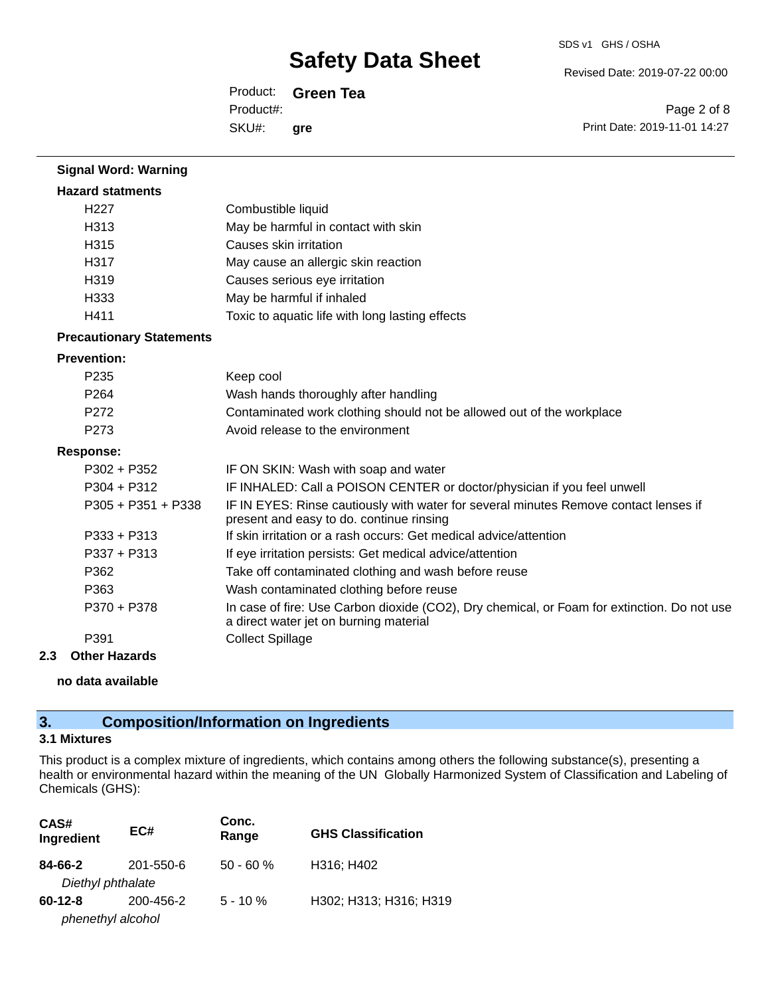Revised Date: 2019-07-22 00:00

Product: **Green Tea** SKU#: Product#: **gre**

Page 2 of 8 Print Date: 2019-11-01 14:27

| <b>Signal Word: Warning</b>     |                                                                                                                                       |
|---------------------------------|---------------------------------------------------------------------------------------------------------------------------------------|
| <b>Hazard statments</b>         |                                                                                                                                       |
| H <sub>227</sub>                | Combustible liquid                                                                                                                    |
| H313                            | May be harmful in contact with skin                                                                                                   |
| H315                            | Causes skin irritation                                                                                                                |
| H317                            | May cause an allergic skin reaction                                                                                                   |
| H319                            | Causes serious eye irritation                                                                                                         |
| H333                            | May be harmful if inhaled                                                                                                             |
| H411                            | Toxic to aquatic life with long lasting effects                                                                                       |
| <b>Precautionary Statements</b> |                                                                                                                                       |
| <b>Prevention:</b>              |                                                                                                                                       |
| P235                            | Keep cool                                                                                                                             |
| P <sub>264</sub>                | Wash hands thoroughly after handling                                                                                                  |
| P272                            | Contaminated work clothing should not be allowed out of the workplace                                                                 |
| P273                            | Avoid release to the environment                                                                                                      |
| <b>Response:</b>                |                                                                                                                                       |
| $P302 + P352$                   | IF ON SKIN: Wash with soap and water                                                                                                  |
| P304 + P312                     | IF INHALED: Call a POISON CENTER or doctor/physician if you feel unwell                                                               |
| P305 + P351 + P338              | IF IN EYES: Rinse cautiously with water for several minutes Remove contact lenses if<br>present and easy to do. continue rinsing      |
| $P333 + P313$                   | If skin irritation or a rash occurs: Get medical advice/attention                                                                     |
| P337 + P313                     | If eye irritation persists: Get medical advice/attention                                                                              |
| P362                            | Take off contaminated clothing and wash before reuse                                                                                  |
| P363                            | Wash contaminated clothing before reuse                                                                                               |
| P370 + P378                     | In case of fire: Use Carbon dioxide (CO2), Dry chemical, or Foam for extinction. Do not use<br>a direct water jet on burning material |
| P391                            | <b>Collect Spillage</b>                                                                                                               |
| 2.3<br><b>Other Hazards</b>     |                                                                                                                                       |

#### **no data available**

### **3. Composition/Information on Ingredients**

#### **3.1 Mixtures**

This product is a complex mixture of ingredients, which contains among others the following substance(s), presenting a health or environmental hazard within the meaning of the UN Globally Harmonized System of Classification and Labeling of Chemicals (GHS):

| CAS#<br>Ingredient | EC#       | Conc.<br>Range | <b>GHS Classification</b> |
|--------------------|-----------|----------------|---------------------------|
| 84-66-2            | 201-550-6 | $50 - 60%$     | H316; H402                |
| Diethyl phthalate  |           |                |                           |
| $60 - 12 - 8$      | 200-456-2 | $5 - 10 \%$    | H302; H313; H316; H319    |
| phenethyl alcohol  |           |                |                           |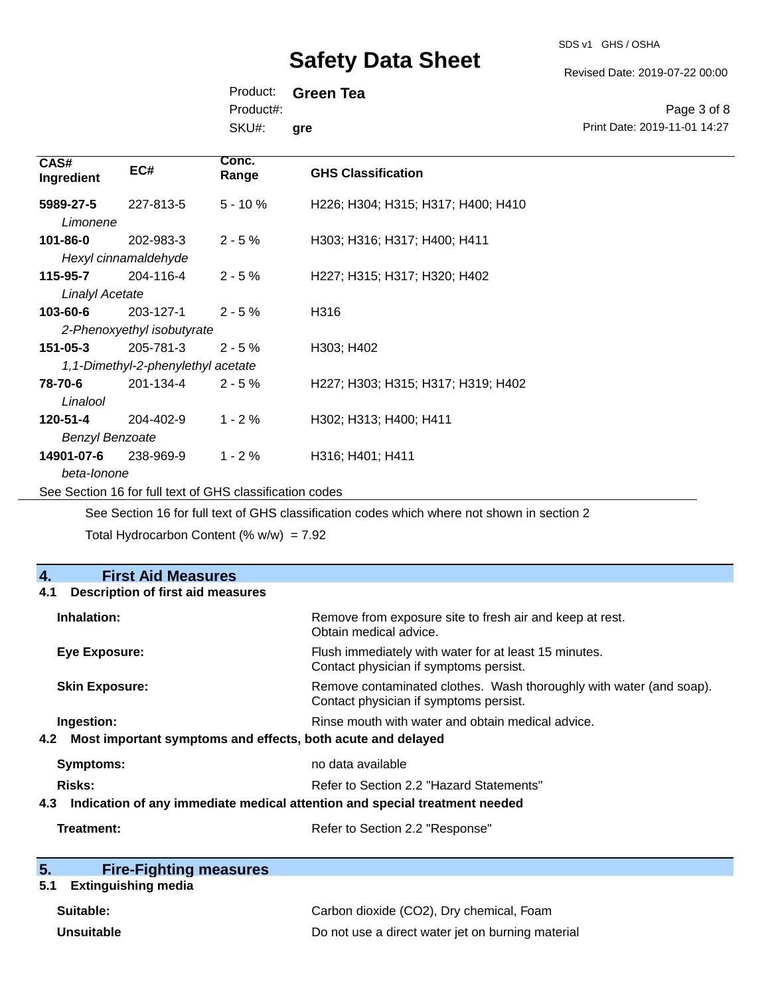SDS v1 GHS / OSHA

Revised Date: 2019-07-22 00:00

Product: **Green Tea** SKU#: Product#: **gre**

Page 3 of 8 Print Date: 2019-11-01 14:27

| CAS#<br>Ingredient                 | EC#                                             | Conc.<br>Range | <b>GHS Classification</b>          |
|------------------------------------|-------------------------------------------------|----------------|------------------------------------|
| 5989-27-5<br>Limonene              | 227-813-5                                       | $5 - 10 \%$    | H226; H304; H315; H317; H400; H410 |
| 101-86-0                           | 202-983-3<br>Hexyl cinnamaldehyde               | $2 - 5%$       | H303; H316; H317; H400; H411       |
| 115-95-7<br><b>Linalyl Acetate</b> | 204-116-4                                       | $2 - 5%$       | H227; H315; H317; H320; H402       |
| 103-60-6                           | 203-127-1<br>2-Phenoxyethyl isobutyrate         | $2 - 5%$       | H316                               |
| $151 - 05 - 3$                     | 205-781-3<br>1,1-Dimethyl-2-phenylethyl acetate | $2 - 5%$       | H303; H402                         |
| 78-70-6<br>Linalool                | 201-134-4                                       | $2 - 5%$       | H227; H303; H315; H317; H319; H402 |
| 120-51-4<br><b>Benzyl Benzoate</b> | 204-402-9                                       | $1 - 2%$       | H302; H313; H400; H411             |
| 14901-07-6<br>heta-Ionone          | 238-969-9                                       | $1 - 2%$       | H316; H401; H411                   |

See Section 16 for full text of GHS classification codes

See Section 16 for full text of GHS classification codes which where not shown in section 2

Total Hydrocarbon Content (%  $w/w$ ) = 7.92

| 4.<br><b>First Aid Measures</b>                                                   |                                                                                                               |  |
|-----------------------------------------------------------------------------------|---------------------------------------------------------------------------------------------------------------|--|
| <b>Description of first aid measures</b><br>4.1                                   |                                                                                                               |  |
| Inhalation:                                                                       | Remove from exposure site to fresh air and keep at rest.<br>Obtain medical advice.                            |  |
| <b>Eye Exposure:</b>                                                              | Flush immediately with water for at least 15 minutes.<br>Contact physician if symptoms persist.               |  |
| <b>Skin Exposure:</b>                                                             | Remove contaminated clothes. Wash thoroughly with water (and soap).<br>Contact physician if symptoms persist. |  |
| Ingestion:                                                                        | Rinse mouth with water and obtain medical advice.                                                             |  |
| Most important symptoms and effects, both acute and delayed<br>4.2                |                                                                                                               |  |
| Symptoms:                                                                         | no data available                                                                                             |  |
| Risks:                                                                            | Refer to Section 2.2 "Hazard Statements"                                                                      |  |
| Indication of any immediate medical attention and special treatment needed<br>4.3 |                                                                                                               |  |
| Treatment:                                                                        | Refer to Section 2.2 "Response"                                                                               |  |

| 5. | <b>Fire-Fighting measures</b> |
|----|-------------------------------|
|    |                               |

### **5.1 Extinguishing media**

| Suitable:         | Carbon dioxide (CO2), Dry chemical, Foam          |
|-------------------|---------------------------------------------------|
| <b>Unsuitable</b> | Do not use a direct water jet on burning material |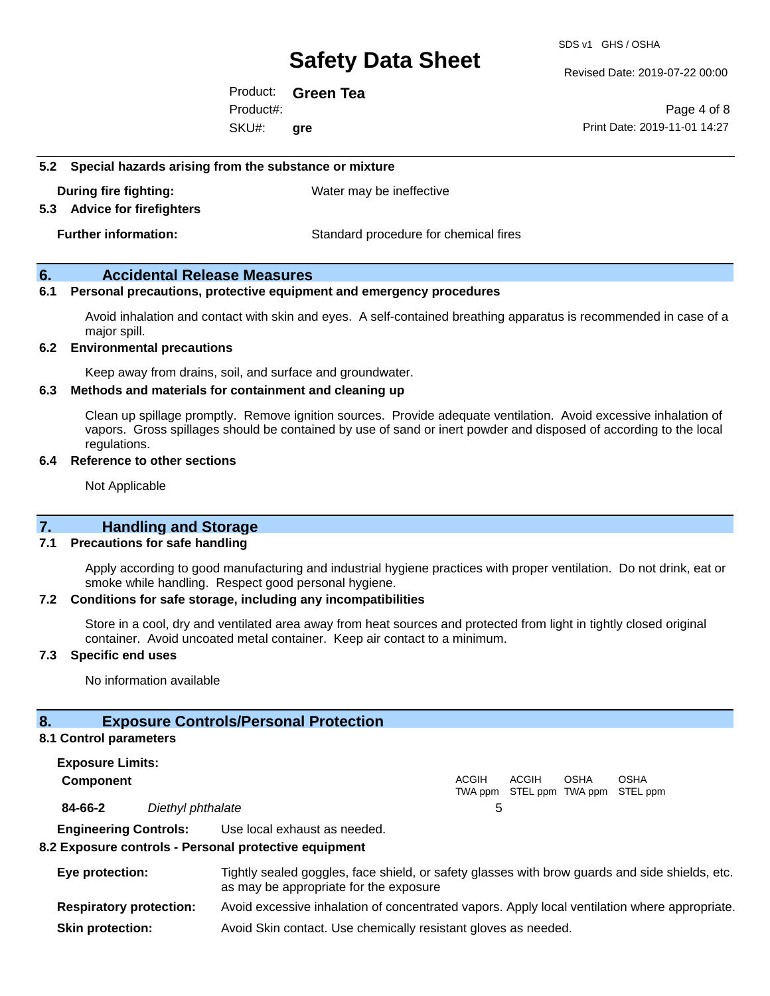SDS v1 GHS / OSHA

Revised Date: 2019-07-22 00:00

Product: **Green Tea** SKU#: Product#: **gre**

Page 4 of 8 Print Date: 2019-11-01 14:27

#### **5.2 Special hazards arising from the substance or mixture**

**During fire fighting:** Water may be ineffective

**5.3 Advice for firefighters**

**Further information:** Standard procedure for chemical fires

#### **6. Accidental Release Measures**

#### **6.1 Personal precautions, protective equipment and emergency procedures**

Avoid inhalation and contact with skin and eyes. A self-contained breathing apparatus is recommended in case of a major spill.

#### **6.2 Environmental precautions**

Keep away from drains, soil, and surface and groundwater.

#### **6.3 Methods and materials for containment and cleaning up**

Clean up spillage promptly. Remove ignition sources. Provide adequate ventilation. Avoid excessive inhalation of vapors. Gross spillages should be contained by use of sand or inert powder and disposed of according to the local regulations.

#### **6.4 Reference to other sections**

Not Applicable

#### **7. Handling and Storage**

#### **7.1 Precautions for safe handling**

Apply according to good manufacturing and industrial hygiene practices with proper ventilation. Do not drink, eat or smoke while handling. Respect good personal hygiene.

#### **7.2 Conditions for safe storage, including any incompatibilities**

Store in a cool, dry and ventilated area away from heat sources and protected from light in tightly closed original container. Avoid uncoated metal container. Keep air contact to a minimum.

#### **7.3 Specific end uses**

No information available

#### **8. Exposure Controls/Personal Protection**

#### **8.1 Control parameters**

**Exposure Limits: Component** ACGIH TWA ppm STEL ppm TWA ppm STEL ppm ACGIH **OSHA** OSHA **84-66-2** *Diethyl phthalate* 5 **Engineering Controls:** Use local exhaust as needed.

#### **8.2 Exposure controls - Personal protective equipment**

| Eye protection:                | Tightly sealed goggles, face shield, or safety glasses with brow guards and side shields, etc.<br>as may be appropriate for the exposure |
|--------------------------------|------------------------------------------------------------------------------------------------------------------------------------------|
| <b>Respiratory protection:</b> | Avoid excessive inhalation of concentrated vapors. Apply local ventilation where appropriate.                                            |
| <b>Skin protection:</b>        | Avoid Skin contact. Use chemically resistant gloves as needed.                                                                           |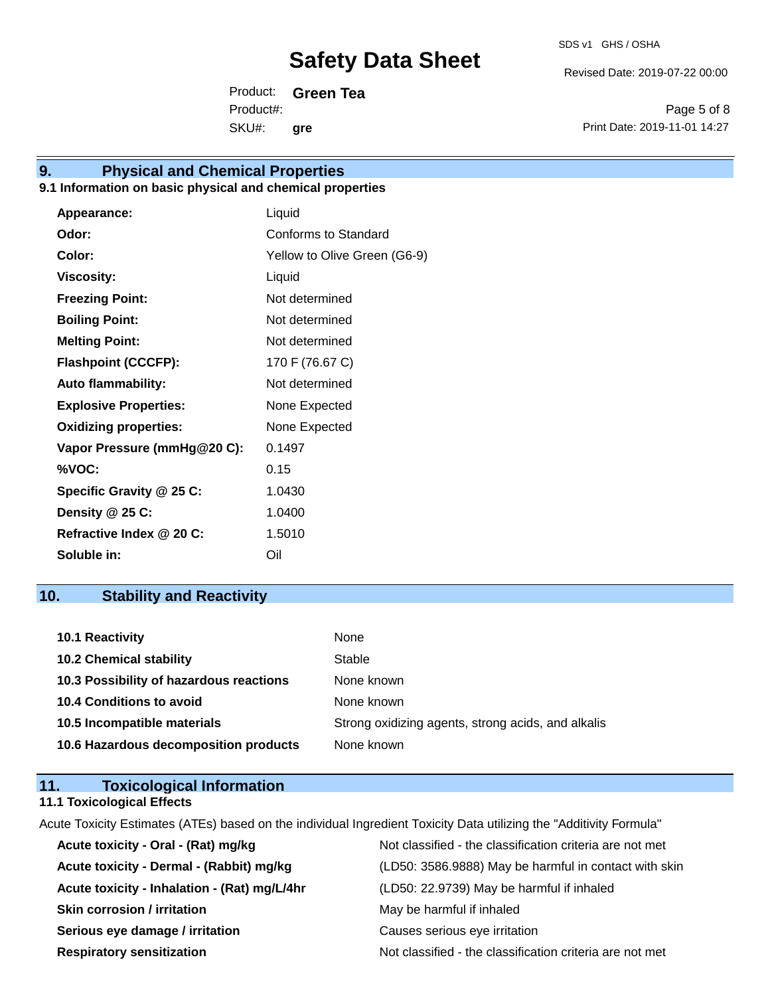Revised Date: 2019-07-22 00:00

Product: **Green Tea** SKU#: Product#: **gre**

Page 5 of 8 Print Date: 2019-11-01 14:27

### **9. Physical and Chemical Properties**

#### **9.1 Information on basic physical and chemical properties**

| Appearance:                  | Liquid                       |
|------------------------------|------------------------------|
| Odor:                        | Conforms to Standard         |
| Color:                       | Yellow to Olive Green (G6-9) |
| <b>Viscosity:</b>            | Liquid                       |
| <b>Freezing Point:</b>       | Not determined               |
| <b>Boiling Point:</b>        | Not determined               |
| <b>Melting Point:</b>        | Not determined               |
| <b>Flashpoint (CCCFP):</b>   | 170 F (76.67 C)              |
| <b>Auto flammability:</b>    | Not determined               |
| <b>Explosive Properties:</b> | None Expected                |
| <b>Oxidizing properties:</b> | None Expected                |
| Vapor Pressure (mmHg@20 C):  | 0.1497                       |
| %VOC:                        | 0.15                         |
| Specific Gravity @ 25 C:     | 1.0430                       |
| Density @ 25 C:              | 1.0400                       |
| Refractive Index @ 20 C:     | 1.5010                       |
| Soluble in:                  | Oil                          |

### **10. Stability and Reactivity**

| 10.1 Reactivity                         | None                                               |
|-----------------------------------------|----------------------------------------------------|
| <b>10.2 Chemical stability</b>          | Stable                                             |
| 10.3 Possibility of hazardous reactions | None known                                         |
| <b>10.4 Conditions to avoid</b>         | None known                                         |
| 10.5 Incompatible materials             | Strong oxidizing agents, strong acids, and alkalis |
| 10.6 Hazardous decomposition products   | None known                                         |

| 11. | <b>Toxicological Information</b>  |  |
|-----|-----------------------------------|--|
|     | <b>11.1 Toxicological Effects</b> |  |

Acute Toxicity Estimates (ATEs) based on the individual Ingredient Toxicity Data utilizing the "Additivity Formula"

| Acute toxicity - Oral - (Rat) mg/kg          | Not classified - the classification criteria are not met |
|----------------------------------------------|----------------------------------------------------------|
| Acute toxicity - Dermal - (Rabbit) mg/kg     | (LD50: 3586.9888) May be harmful in contact with skin    |
| Acute toxicity - Inhalation - (Rat) mg/L/4hr | (LD50: 22.9739) May be harmful if inhaled                |
| <b>Skin corrosion / irritation</b>           | May be harmful if inhaled                                |
| Serious eye damage / irritation              | Causes serious eye irritation                            |
| <b>Respiratory sensitization</b>             | Not classified - the classification criteria are not met |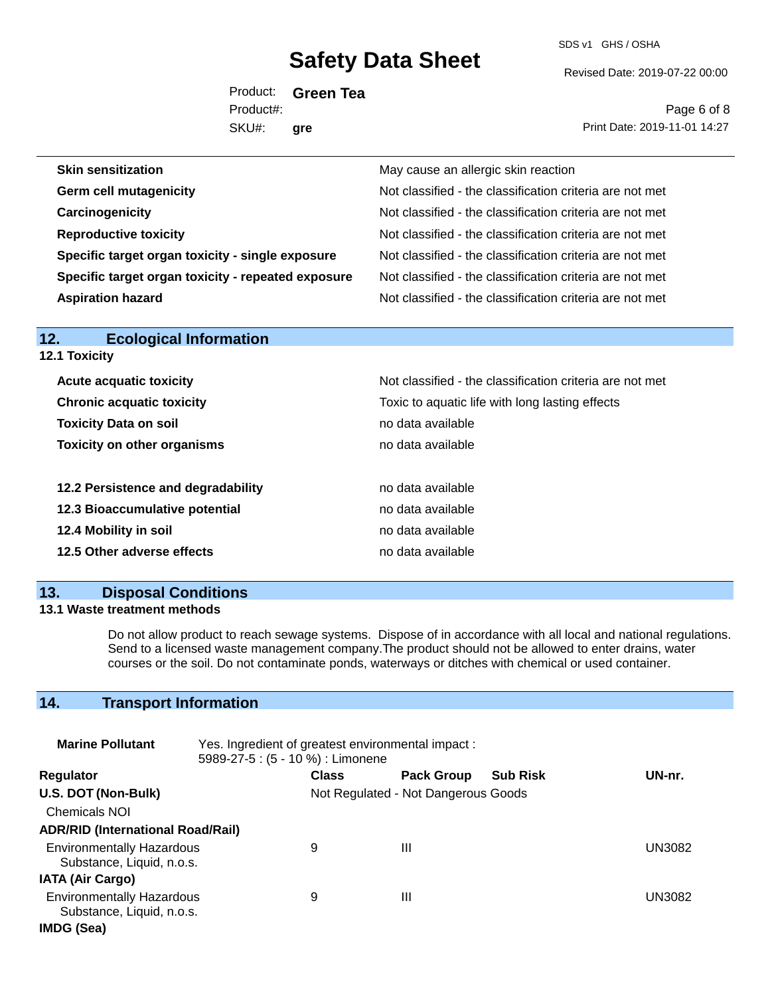SDS v1 GHS / OSHA

Revised Date: 2019-07-22 00:00

Product: **Green Tea** SKU#: Product#: **gre**

Page 6 of 8 Print Date: 2019-11-01 14:27

| <b>Skin sensitization</b>                          | May cause an allergic skin reaction                      |
|----------------------------------------------------|----------------------------------------------------------|
| <b>Germ cell mutagenicity</b>                      | Not classified - the classification criteria are not met |
| Carcinogenicity                                    | Not classified - the classification criteria are not met |
| <b>Reproductive toxicity</b>                       | Not classified - the classification criteria are not met |
| Specific target organ toxicity - single exposure   | Not classified - the classification criteria are not met |
| Specific target organ toxicity - repeated exposure | Not classified - the classification criteria are not met |
| <b>Aspiration hazard</b>                           | Not classified - the classification criteria are not met |

| <b>12.1 Toxicity</b>                                                                |                                                          |  |  |
|-------------------------------------------------------------------------------------|----------------------------------------------------------|--|--|
| <b>Acute acquatic toxicity</b>                                                      | Not classified - the classification criteria are not met |  |  |
| <b>Chronic acquatic toxicity</b><br>Toxic to aquatic life with long lasting effects |                                                          |  |  |
| <b>Toxicity Data on soil</b>                                                        | no data available                                        |  |  |
| <b>Toxicity on other organisms</b>                                                  | no data available                                        |  |  |
| 12.2 Persistence and degradability                                                  | no data available                                        |  |  |
| 12.3 Bioaccumulative potential                                                      | no data available                                        |  |  |
| 12.4 Mobility in soil                                                               | no data available                                        |  |  |
| 12.5 Other adverse effects                                                          | no data available                                        |  |  |

#### **13. Disposal Conditions**

**12. Ecological Information** 

#### **13.1 Waste treatment methods**

Do not allow product to reach sewage systems. Dispose of in accordance with all local and national regulations. Send to a licensed waste management company.The product should not be allowed to enter drains, water courses or the soil. Do not contaminate ponds, waterways or ditches with chemical or used container.

### **14. Transport Information**

| <b>Marine Pollutant</b>                                       | Yes. Ingredient of greatest environmental impact:<br>5989-27-5 : (5 - 10 %) : Limonene |                                     |                   |                 |        |
|---------------------------------------------------------------|----------------------------------------------------------------------------------------|-------------------------------------|-------------------|-----------------|--------|
| <b>Regulator</b>                                              |                                                                                        | <b>Class</b>                        | <b>Pack Group</b> | <b>Sub Risk</b> | UN-nr. |
| U.S. DOT (Non-Bulk)                                           |                                                                                        | Not Regulated - Not Dangerous Goods |                   |                 |        |
| <b>Chemicals NOI</b>                                          |                                                                                        |                                     |                   |                 |        |
| <b>ADR/RID (International Road/Rail)</b>                      |                                                                                        |                                     |                   |                 |        |
| <b>Environmentally Hazardous</b><br>Substance, Liquid, n.o.s. |                                                                                        | 9                                   | Ш                 |                 | UN3082 |
| <b>IATA (Air Cargo)</b>                                       |                                                                                        |                                     |                   |                 |        |
| <b>Environmentally Hazardous</b><br>Substance, Liquid, n.o.s. |                                                                                        | 9                                   | Ш                 |                 | UN3082 |
| IMDG (Sea)                                                    |                                                                                        |                                     |                   |                 |        |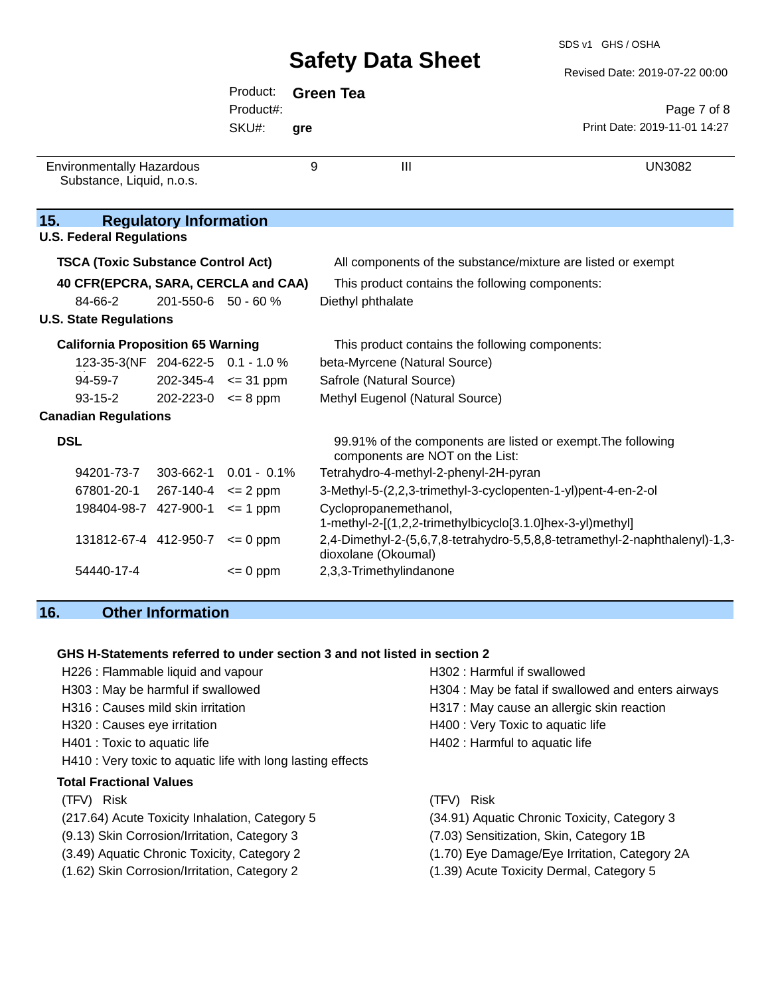|                                           |                               | Product:                    |     | <b>Green Tea</b>                                                                                |                                                                             |
|-------------------------------------------|-------------------------------|-----------------------------|-----|-------------------------------------------------------------------------------------------------|-----------------------------------------------------------------------------|
|                                           |                               | Product#:                   |     |                                                                                                 | Page 7 of 8                                                                 |
|                                           |                               | SKU#:                       | gre |                                                                                                 | Print Date: 2019-11-01 14:27                                                |
| <b>Environmentally Hazardous</b>          |                               |                             | 9   | $\mathbf{III}$                                                                                  | <b>UN3082</b>                                                               |
| Substance, Liquid, n.o.s.                 |                               |                             |     |                                                                                                 |                                                                             |
|                                           |                               |                             |     |                                                                                                 |                                                                             |
| 15.                                       | <b>Regulatory Information</b> |                             |     |                                                                                                 |                                                                             |
| <b>U.S. Federal Regulations</b>           |                               |                             |     |                                                                                                 |                                                                             |
| <b>TSCA (Toxic Substance Control Act)</b> |                               |                             |     | All components of the substance/mixture are listed or exempt                                    |                                                                             |
| 40 CFR(EPCRA, SARA, CERCLA and CAA)       |                               |                             |     | This product contains the following components:                                                 |                                                                             |
| 84-66-2                                   | 201-550-6 50 - 60 %           |                             |     | Diethyl phthalate                                                                               |                                                                             |
| <b>U.S. State Regulations</b>             |                               |                             |     |                                                                                                 |                                                                             |
| <b>California Proposition 65 Warning</b>  |                               |                             |     | This product contains the following components:                                                 |                                                                             |
| 123-35-3(NF 204-622-5 0.1 - 1.0 %         |                               |                             |     | beta-Myrcene (Natural Source)                                                                   |                                                                             |
| $94 - 59 - 7$                             |                               | $202 - 345 - 4 \leq 31$ ppm |     | Safrole (Natural Source)                                                                        |                                                                             |
| $93 - 15 - 2$                             | $202 - 223 - 0 \le 8$ ppm     |                             |     | Methyl Eugenol (Natural Source)                                                                 |                                                                             |
| <b>Canadian Regulations</b>               |                               |                             |     |                                                                                                 |                                                                             |
| <b>DSL</b>                                |                               |                             |     | 99.91% of the components are listed or exempt. The following<br>components are NOT on the List: |                                                                             |
| 94201-73-7                                | 303-662-1 0.01 - 0.1%         |                             |     | Tetrahydro-4-methyl-2-phenyl-2H-pyran                                                           |                                                                             |
| 67801-20-1                                | $267 - 140 - 4 \leq 2$ ppm    |                             |     | 3-Methyl-5-(2,2,3-trimethyl-3-cyclopenten-1-yl)pent-4-en-2-ol                                   |                                                                             |
| 198404-98-7 427-900-1                     |                               | $\leq$ 1 ppm                |     | Cyclopropanemethanol,<br>1-methyl-2-[(1,2,2-trimethylbicyclo[3.1.0]hex-3-yl)methyl]             |                                                                             |
| 131812-67-4 412-950-7                     |                               | $\leq$ 0 ppm                |     | dioxolane (Okoumal)                                                                             | 2,4-Dimethyl-2-(5,6,7,8-tetrahydro-5,5,8,8-tetramethyl-2-naphthalenyl)-1,3- |
| 54440-17-4                                |                               | $= 0$ ppm                   |     | 2,3,3-Trimethylindanone                                                                         |                                                                             |

### **16. Other Information**

#### **GHS H-Statements referred to under section 3 and not listed in section 2**

| H226 : Flammable liquid and vapour                          | H302 : Harmful if swallowed                         |
|-------------------------------------------------------------|-----------------------------------------------------|
| H303 : May be harmful if swallowed                          | H304 : May be fatal if swallowed and enters airways |
| H316 : Causes mild skin irritation                          | H317 : May cause an allergic skin reaction          |
| H320 : Causes eye irritation                                | H400 : Very Toxic to aquatic life                   |
| H401 : Toxic to aquatic life                                | H402 : Harmful to aquatic life                      |
| H410 : Very toxic to aquatic life with long lasting effects |                                                     |
| <b>Total Fractional Values</b>                              |                                                     |
| (TFV) Risk                                                  | <b>Risk</b><br>(TFV)                                |
| (217.64) Acute Toxicity Inhalation, Category 5              | (34.91) Aquatic Chronic Toxicity, Category 3        |
| (9.13) Skin Corrosion/Irritation, Category 3                | (7.03) Sensitization, Skin, Category 1B             |
| (3.49) Aquatic Chronic Toxicity, Category 2                 | (1.70) Eye Damage/Eye Irritation, Category 2A       |
| (1.62) Skin Corrosion/Irritation, Category 2                | (1.39) Acute Toxicity Dermal, Category 5            |